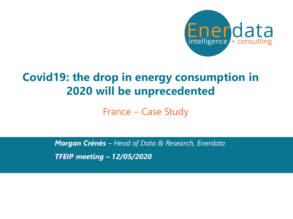

# **Covid19: the drop in energy consumption in 2020 will be unprecedented**

France – Case Study

*TFEIP meeting – 12/05/2020 Morgan Crénès – Head of Data & Research, Enerdata*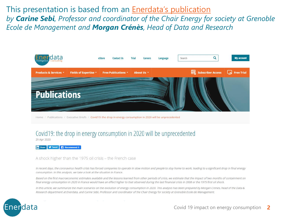This presentation is based from an **[Enerdata's publication](https://www.enerdata.net/publications/executive-briefing/covid-19-energy-consumption.html)** *by Carine Sebi, Professor and coordinator of the Chair Energy for society at Grenoble Ecole de Management and Morgan Crénès, Head of Data and Research*



Home / Publications / Executive Briefs / Covid19: the drop in energy consumption in 2020 will be unprecedented

### Covid 19: the drop in energy consumption in 2020 will be unprecedented

29 Apr 2020

**In** Share **V** Tweet **Recommend 8** 

#### A shock higher than the 1975 oil crisis - the French case

In recent days, the coronavirus health crisis has forced companies to operate in slow motion and people to stay home to work, leading to a significant drop in final energy consumption. In this analysis, we take a look at the situation in France.

Based on the first macroeconomic estimates available and the lessons learned from other periods of crisis, we estimate that the impact of two months of containment on final energy consumption in 2020 in France would have an effect higher to that observed during the last financial crisis in 2008 or the 1975 first oil shock.

In this article, we summarize the main scenarios on the evolution of energy consumption in 2020. This analysis has been prepared by Morgan Crenes, head of the Data & Research department at Enerdata, and Carine Sebi, Professor and coordinator of the Chair Energy for society at Grenoble Ecole de Management.

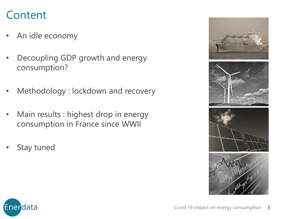# Content

- An idle economy
- Decoupling GDP growth and energy consumption?
- Methodology : lockdown and recovery
- Main results : highest drop in energy consumption in France since WWII
- Stay tuned



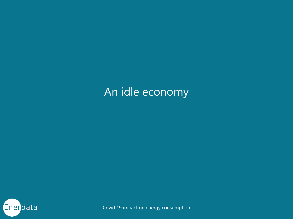# An idle economy

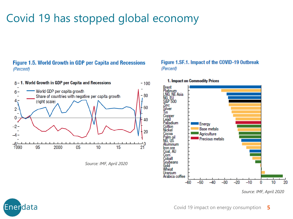# Covid 19 has stopped global economy

### **Figure 1.5. World Growth in GDP per Capita and Recessions** (Percent)



*Source: IMF, April 2020*

#### Figure 1.SF.1. Impact of the COVID-19 Outbreak (Percent)



#### 1. Impact on Commodity Prices

*Source: IMF, April 2020*



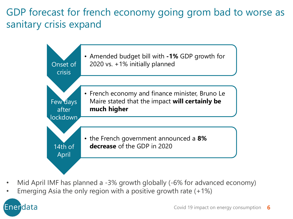GDP forecast for french economy going grom bad to worse as sanitary crisis expand



- Mid April IMF has planned a -3% growth globally (-6% for advanced economy)
- Emerging Asia the only region with a positive growth rate  $(+1%)$

# Enerdata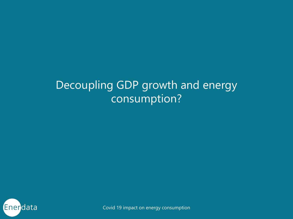# Decoupling GDP growth and energy consumption?

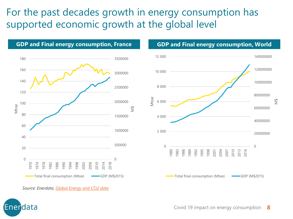## For the past decades growth in energy consumption has supported economic growth at the global level





*Source: Enerdata, [Global Energy and CO2 data](https://www.enerdata.net/research/energy-market-data-co2-emissions-database.html)*

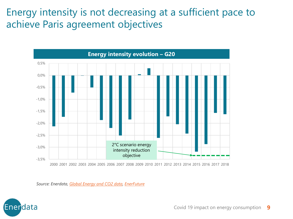Energy intensity is not decreasing at a sufficient pace to achieve Paris agreement objectives



2000 2001 2002 2003 2004 2005 2006 2007 2008 2009 2010 2011 2012 2013 2014 2015 2016 2017 2018

*Source: Enerdata, [Global Energy and CO2 data](https://www.enerdata.net/research/energy-market-data-co2-emissions-database.html), [EnerFuture](https://www.enerdata.net/research/forecast-enerfuture.html)*

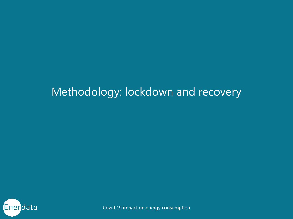# Methodology: lockdown and recovery

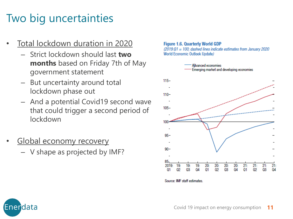# Two big uncertainties

- Total lockdown duration in 2020
	- Strict lockdown should last **two months** based on Friday 7th of May government statement
	- But uncertainty around total lockdown phase out
	- And a potential Covid19 second wave that could trigger a second period of lockdown
- Global economy recovery
	- V shape as projected by IMF?





Source: IMF staff estimates.

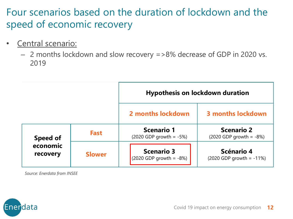Four scenarios based on the duration of lockdown and the speed of economic recovery

- Central scenario:
	- 2 months lockdown and slow recovery =>8% decrease of GDP in 2020 vs. 2019

|                                  |               | <b>Hypothesis on lockdown duration</b>            |                                                   |
|----------------------------------|---------------|---------------------------------------------------|---------------------------------------------------|
|                                  |               | 2 months lockdown                                 | <b>3 months lockdown</b>                          |
| Speed of<br>economic<br>recovery | <b>Fast</b>   | <b>Scenario 1</b><br>$(2020$ GDP growth = $-5\%)$ | <b>Scenario 2</b><br>$(2020$ GDP growth = $-8\%)$ |
|                                  | <b>Slower</b> | <b>Scenario 3</b><br>$(2020$ GDP growth = -8%)    | Scénario 4<br>$(2020$ GDP growth = -11%)          |

*Source: Enerdata from INSEE*

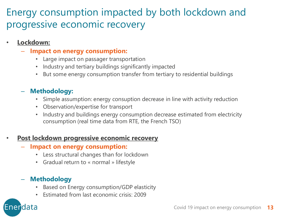## Energy consumption impacted by both lockdown and progressive economic recovery

## • **Lockdown:**

- **Impact on energy consumption:**
	- Large impact on passager transportation
	- Industry and tertiary buildings significantly impacted
	- But some energy consumption transfer from tertiary to residential buildings

## – **Methodology:**

- Simple assumption: energy consuption decrease in line with activity reduction
- Observation/expertise for transport
- Industry and buildings energy consumption decrease estimated from electricity consumption (real time data from RTE, the French TSO)

## • **Post lockdown progressive economic recovery**

- **Impact on energy consumption:**
	- Less structural changes than for lockdown
	- Gradual return to « normal » lifestyle

## – **Methodology**

Enerdata

- Based on Energy consumption/GDP elasticity
- Estimated from last economic crisis: 2009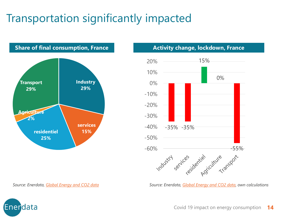# Transportation significantly impacted



**Share of final consumption, France Activity change, lockdown, France** 



*Source: Enerdata, [Global Energy and CO2 data](https://www.enerdata.net/research/energy-market-data-co2-emissions-database.html) Source: Enerdata, [Global Energy and CO2 data,](https://www.enerdata.net/research/energy-market-data-co2-emissions-database.html) own calculations*

Enerdata

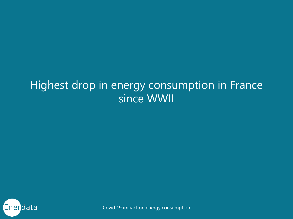# Highest drop in energy consumption in France since WWII

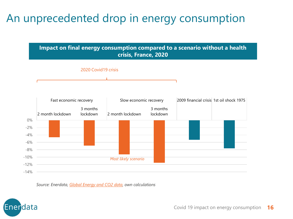# An unprecedented drop in energy consumption



*Source: Enerdata, [Global Energy and CO2 data](https://www.enerdata.net/research/energy-market-data-co2-emissions-database.html), own calculations*

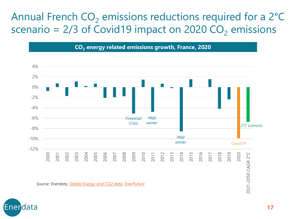# Annual French  $CO<sub>2</sub>$  emissions reductions required for a 2 $^{\circ}$ C scenario =  $2/3$  of Covid19 impact on 2020 CO<sub>2</sub> emissions

**CO<sup>2</sup> energy related emissions growth, France, 2020**



*Source: Enerdata, [Global Energy and CO2 data](https://www.enerdata.net/research/energy-market-data-co2-emissions-database.html), [EnerFuture](https://www.enerdata.net/research/forecast-enerfuture.html)*

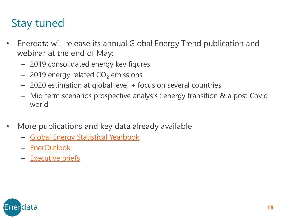# Stay tuned

- Enerdata will release its annual Global Energy Trend publication and webinar at the end of May:
	- 2019 consolidated energy key figures
	- $-$  2019 energy related  $CO<sub>2</sub>$  emissions
	- 2020 estimation at global level + focus on several countries
	- Mid term scenarios prospective analysis : energy transition & a post Covid world
- More publications and key data already available
	- [Global Energy Statistical](https://www.enerdata.net/publications/world-energy-statistics-supply-and-demand.html) Yearbook
	- [EnerOutlook](https://www.enerdata.net/publications/energy-outlook-tool.html)
	- [Executive briefs](https://www.enerdata.net/publications/executive-briefing/covid-19-energy-consumption.html)